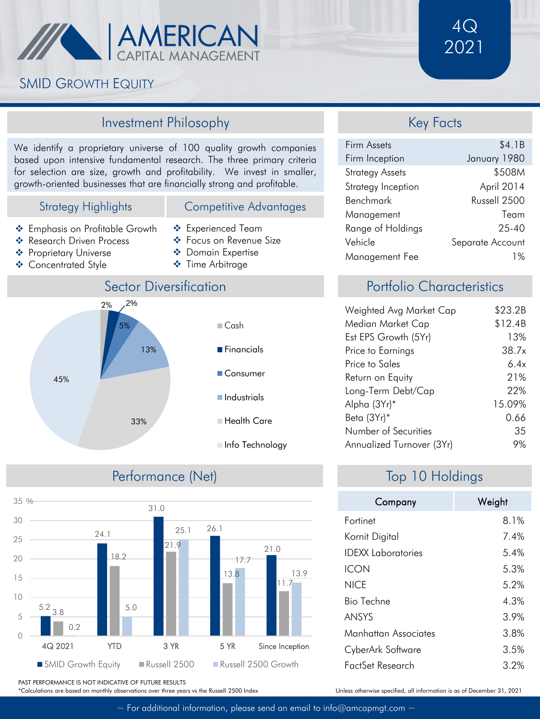

## SMID GROWTH EQUITY

#### Investment Philosophy

We identify a proprietary universe of 100 quality growth companies based upon intensive fundamental research. The three primary criteria for selection are size, growth and profitability. We invest in smaller, growth-oriented businesses that are financially strong and profitable.

#### Strategy Highlights

- ❖ Emphasis on Profitable Growth ❖ Research Driven Process
- 
- ❖ Proprietary Universe
- ❖ Concentrated Style



Competitive Advantages

- ❖ Focus on Revenue Size
- ❖ Domain Expertise
- ❖ Time Arbitrage



## Performance (Net)



#### Key Facts

| Firm Assets            | \$4.1B           |
|------------------------|------------------|
| Firm Inception         | January 1980     |
| <b>Strategy Assets</b> | \$508M           |
| Strategy Inception     | April 2014       |
| Benchmark              | Russell 2500     |
| Management             | Team             |
| Range of Holdings      | $75 - 40$        |
| Vehicle                | Separate Account |
| Management Fee         | 1%               |

## Portfolio Characteristics

| Weighted Avg Market Cap   | \$23.2B |
|---------------------------|---------|
| Median Market Cap         | \$12.4B |
| Est EPS Growth (5Yr)      | 13%     |
| Price to Earnings         | 38.7x   |
| Price to Sales            | 6.4x    |
| Return on Equity          | 21%     |
| Long-Term Debt/Cap        | 22%     |
| Alpha (3Yr)*              | 15.09%  |
| Beta (3Yr)*               | ი 66    |
| Number of Securities      | 35      |
| Annualized Turnover (3Yr) | 9%      |

# Top 10 Holdings

| Company                   | Weight |
|---------------------------|--------|
| Fortinet                  | 8.1%   |
| Kornit Digital            | 7.4%   |
| <b>IDEXX</b> Laboratories | 5.4%   |
| ICON                      | 5.3%   |
| <b>NICF</b>               | 5.2%   |
| <b>Bio Techne</b>         | 4.3%   |
| <b>ANSYS</b>              | 3.9%   |
| Manhattan Associates      | 3.8%   |
| CyberArk Software         | 3.5%   |
| FactSet Research          | 3.2%   |

Unless otherwise specified, all information is as of December 31, 2021

PAST PERFORMANCE IS NOT INDICATIVE OF FUTURE RESULTS

\*Calculations are based on monthly observations over three years vs the Russell 2500 Index